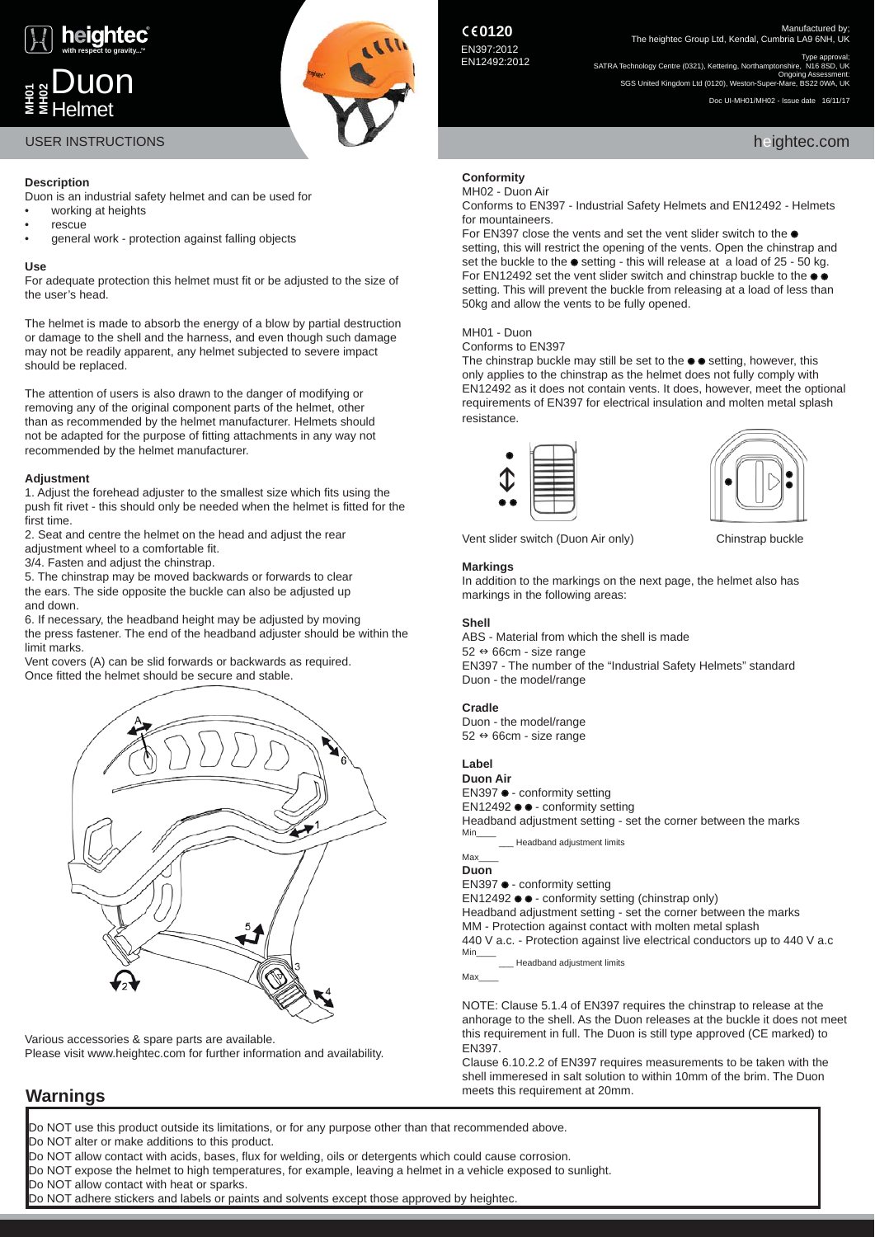

Duon

Helmet



Manufactured by;<br>The heightec Group Ltd, Kendal, Cumbria LA9 6NH, UK

Type approval;<br>SATRA Technology Centre (0321), Kettering, Northamptonshire, N16 8SD, UK<br>Ongoing Assessment: SGS United Kingdom Ltd (0120), Weston-Super-Mare, BS22 0WA, UK

Doc UI-MH01/MH02 - Issue date 16/11/17

# **Description**

Duon is an industrial safety helmet and can be used for

- working at heights
- rescue
- general work protection against falling objects

# **Use**

**MH01 MH02**

For adequate protection this helmet must fit or be adjusted to the size of the user's head.

The helmet is made to absorb the energy of a blow by partial destruction or damage to the shell and the harness, and even though such damage may not be readily apparent, any helmet subjected to severe impact should be replaced.

The attention of users is also drawn to the danger of modifying or removing any of the original component parts of the helmet, other than as recommended by the helmet manufacturer. Helmets should not be adapted for the purpose of fitting attachments in any way not recommended by the helmet manufacturer.

# **Adjustment**

1. Adjust the forehead adjuster to the smallest size which fits using the push fit rivet - this should only be needed when the helmet is fitted for the first time.

2. Seat and centre the helmet on the head and adjust the rear adjustment wheel to a comfortable fit.

3/4. Fasten and adjust the chinstrap.

5. The chinstrap may be moved backwards or forwards to clear the ears. The side opposite the buckle can also be adjusted up and down.

6. If necessary, the headband height may be adjusted by moving the press fastener. The end of the headband adjuster should be within the limit marks.

Vent covers (A) can be slid forwards or backwards as required. Once fitted the helmet should be secure and stable.



Various accessories & spare parts are available. Please visit www.heightec.com for further information and availability.

# **Conformity**

## MH02 - Duon Air Conforms to EN397 - Industrial Safety Helmets and EN12492 - Helmets for mountaineers.

For EN397 close the vents and set the vent slider switch to the  $\bullet$ setting, this will restrict the opening of the vents. Open the chinstrap and set the buckle to the  $\bullet$  setting - this will release at a load of 25 - 50 kg. For EN12492 set the vent slider switch and chinstrap buckle to the  $\bullet$   $\bullet$ setting. This will prevent the buckle from releasing at a load of less than 50kg and allow the vents to be fully opened.

# MH01 - Duon

Conforms to EN397

The chinstrap buckle may still be set to the  $\bullet \bullet$  setting, however, this only applies to the chinstrap as the helmet does not fully comply with EN12492 as it does not contain vents. It does, however, meet the optional requirements of EN397 for electrical insulation and molten metal splash resistance.





Vent slider switch (Duon Air only) Chinstrap buckle

# **Markings**

In addition to the markings on the next page, the helmet also has markings in the following areas:

# **Shell**

ABS - Material from which the shell is made  $52 \leftrightarrow 66$ cm - size range EN397 - The number of the "Industrial Safety Helmets" standard Duon - the model/range

# **Cradle**

Duon - the model/range  $52 \leftrightarrow 66$ cm - size range

# **Label**

**Duon Air** EN397 ● - conformity setting EN12492 ● ● - conformity setting Headband adjustment setting - set the corner between the marks Min\_\_\_\_ \_\_\_ Headband adjustment limits

## Max **Duon**

EN397  $\bullet$  - conformity setting

 $EN12492 \bullet \bullet \bullet$  conformity setting (chinstrap only) Headband adjustment setting - set the corner between the marks MM - Protection against contact with molten metal splash 440 V a.c. - Protection against live electrical conductors up to 440 V a.c Min\_\_\_\_

**Lacks** Headband adjustment limits

Max\_\_\_\_

NOTE: Clause 5.1.4 of EN397 requires the chinstrap to release at the anhorage to the shell. As the Duon releases at the buckle it does not meet this requirement in full. The Duon is still type approved (CE marked) to EN397.

Clause 6.10.2.2 of EN397 requires measurements to be taken with the shell immeresed in salt solution to within 10mm of the brim. The Duon meets this requirement at 20mm.

# **Warnings**

Do NOT use this product outside its limitations, or for any purpose other than that recommended above.

Do NOT alter or make additions to this product.

Do NOT allow contact with acids, bases, flux for welding, oils or detergents which could cause corrosion.

Do NOT expose the helmet to high temperatures, for example, leaving a helmet in a vehicle exposed to sunlight.

Do NOT allow contact with heat or sparks.

Do NOT adhere stickers and labels or paints and solvents except those approved by heightec.